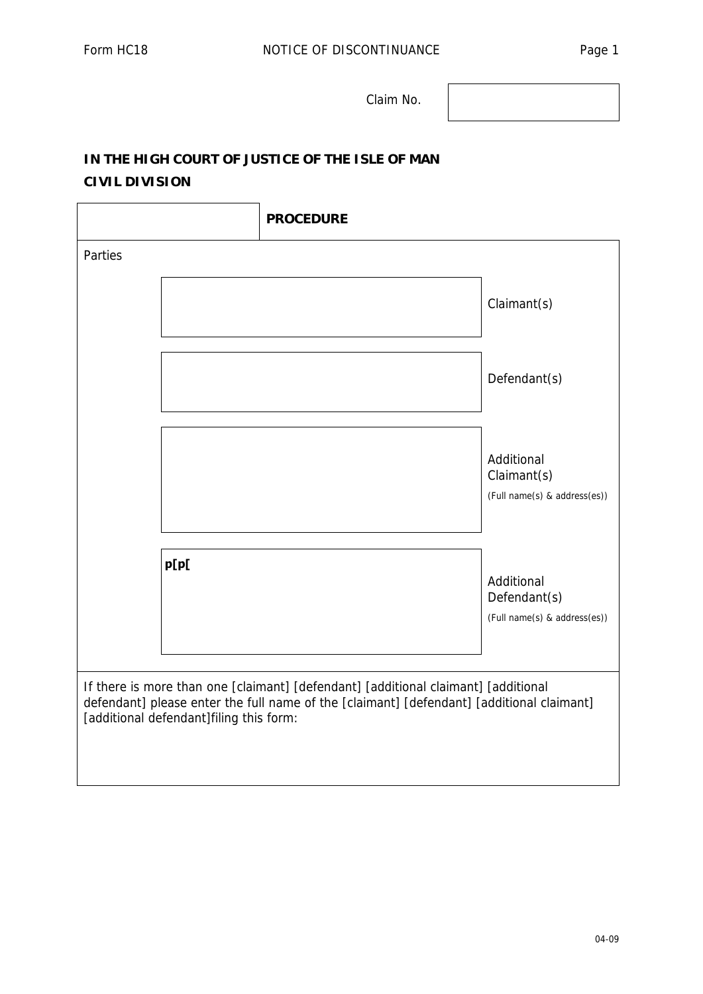Claim No.

## **IN THE HIGH COURT OF JUSTICE OF THE ISLE OF MAN CIVIL DIVISION**